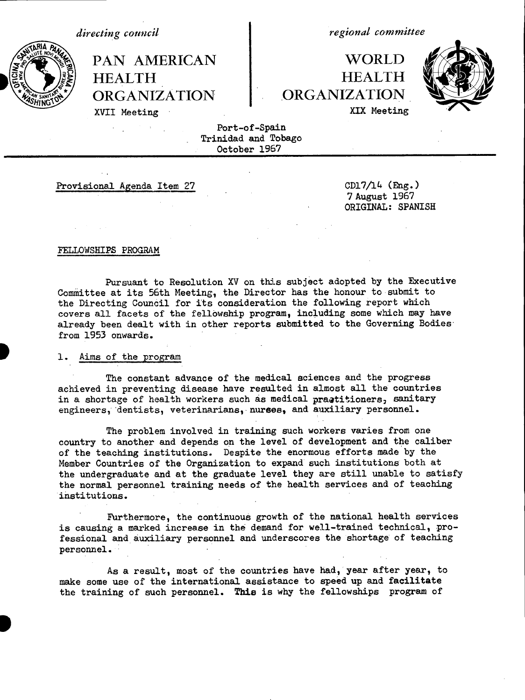*directing council*

HEALTH HEALTH **ORGANIZATION .ORGANIZATION**

*regional committee*

PAN AMERICAN | WORLD XVII Meeting XVII Meeting XIX Meeting



Port-of-Spain Trinidad and Tobago October 1967

Provisional Agenda Item 27 CD17/14 (Eng.)

7 August 1967 ORIGINAL: SPANISH

#### FELLOWSHIPS PROGRAM

Pursuant to Resolution XV on this subject adopted by the Executive Committee at its 56th Meeting, the Director has the honour to submit to the Directing Council for its consideration the following report which covers all facets of the fellowship program, including some which may have already been dealt with in other reports submitted to the Governing Bodies from 1953 onwards.

### 1. Aims of the program

The constant advance of the medical sciences and the progress achieved in preventing disease have resulted in almost all the countries in a shortage of health workers such as medical practitioners, sanitary engineers, dentists, veterinarians, nurses, and auxiliary personnel.

The problem involved in training such workers varies from one country to another and depends on the level of development and the caliber of the teaching institutions. Despite the enormous efforts made by the Member Countries of the Organization to expand such institutions both at the undergraduate and at the graduate level they are still unable to satisfy the normal personnel training needs of the health services and of teaching institutions.

Furthermore, the continuous growth of the national health services is causing a marked increase in the demand for well-trained technical, professional and auxiliary personnel and underscores the shortage of teaching personnel.

As a result, most of the countries have had, year after year, to make some use of the international assistance to speed up and facilitate the training of such personnel. This is why the fellowships program of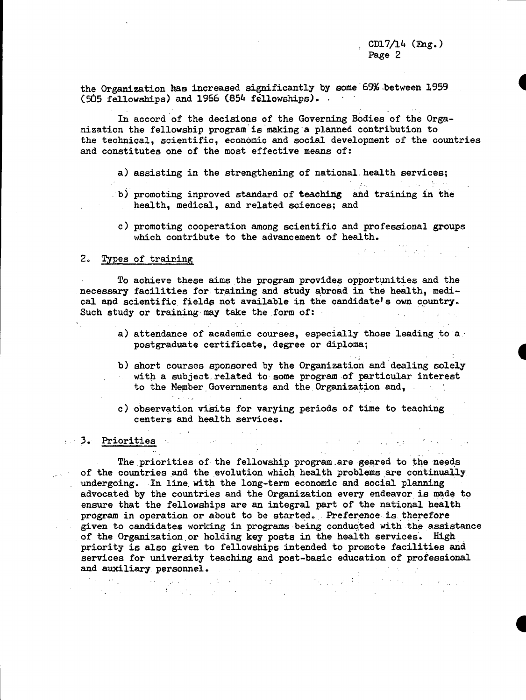$\mathcal{L}(\mathbf{z}^{\prime},\mathbf{z}^{\prime},\mathbf{z}^{\prime})$  . The set of the set of the set of the set of the set of the set of the set of the set of the set of the set of the set of the set of the set of the set of the set of the set of the

 $\label{eq:2.1} \mathcal{L}(\mathcal{L}^{\mathcal{A}}(\mathcal{A}^{\mathcal{A}})) = \mathcal{L}(\mathcal{L}^{\mathcal{A}}(\mathcal{A}^{\mathcal{A}})) = \mathcal{L}(\mathcal{L}^{\mathcal{A}}(\mathcal{A}^{\mathcal{A}})) = \mathcal{L}(\mathcal{L}^{\mathcal{A}}(\mathcal{A}^{\mathcal{A}})) = \mathcal{L}(\mathcal{L}^{\mathcal{A}}(\mathcal{A}^{\mathcal{A}}))$ 

the Organization has increased significantly by some'69% .between 1959 (505 fellowships) and 1966 (854 fellowships).

In accord of the decisions of the Governing Bodies of the Organization the fellowship program is making a planned contribution to the technical, scientific, economic and social development of the countries and constitutes one of the most effective means of:

- a) assisting in the strengthening of national health services;
- b) promoting inproved standard of teaching and training in the health, medical, and related sciences; and
	- c) promoting cooperation among scientific and professional groups which contribute to the advancement of health.

### 2. Types of training

To achieve these aims the program provides opportunities and the necessary facilities for training and study abroad in the health, medical and scientific fields not available in the candidate's own country. Such study or training may take the form of:

 $\Delta\phi=0.01$ 

- a) attendance of academic courses, especially those leading to a postgraduate certificate, degree or diploma;
- b) short courses sponsored by the Organization and dealing solely with a subject, related to some program of particular interest to the Member Governments and the Organization and,
- c) observation visits for varying periods of time to teaching centers and health services.

 $\sim 10$ 

#### 3. Priorities

The priorities of the fellowship program.are geared to the needs of the countries and the evolution which health problems are continually undergoing. In line with the long-term economic and social planning advocated by the countries and the Organization every endeavor is made to ensure that the fellowships are an integral part of the national health program in operation or about to be started. Preference is therefore given to candidates working in programs being conducted with the assistance of the Organization or holding key posts in the health services. High priority is also given to fellowships intended to promote facilities and services for university teaching and post-basic education of professional and auxiliary personnel. - : . . .. -.. . , **:E**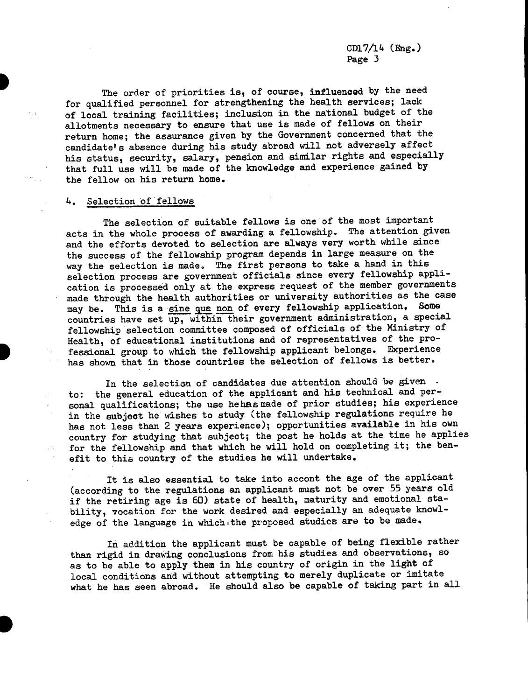The order of priorities is, of course, influenced by the need for qualified personnel for strengthening the health services; lack of local training facilities; inclusion in the national budget of the allotments necessary to ensure that use is made of fellows on their return home; the assurance given by the Government concerned that the candidate's absence during his study abroad will not adversely affect his status, security, salary, pension and similar rights and especially that full use will be made of the knowledge and experience gained by the fellow on his return home.

### 4. Selection of fellows

 $\mathcal{A}_{\mathcal{A}}$ 

V.

The selection of suitable fellows is one of the most important acts in the whole process of awarding a fellowship. The attention given and the efforts devoted to selection are always very worth while since the success of the fellowship program depends in large measure on the way the selection is made. The first persons to take a hand in this selection process are government officials since every fellowship application is processed only at the express request of the member governments made through the health authorities or university authorities as the case may be. This is a sine qua non of every fellowship application. Some countries have set up, within their government administration, a special fellowship selection committee composed of officials of the Ministry of Health, of educational institutions and of representatives of the professional group to which the fellowship applicant belongs. Experience has shown that in those countries the selection of fellows is better.

In the selection of candidates due attention should be given. to: the general education of the applicant and his technical and personal qualifications; the use hehasmade of prior studies; his experience in the subject he wishes to study (the fellowship regulations require he has not less than 2 years experience); opportunities available in his own country for studying that subject; the post he holds at the time he applies for the fellowship and that which he will hold on completing it; the benefit to this country of the studies he will undertake.

It is also essential to take into accont the age of the applicant (according to the regulations an applicant must not be over 55 years old if the retiring age is 60) state of health, maturity and emotional stability, vocation for the work desired and especially an adequate knowledge of the language in which;the proposed studies are to be made.

In addition the applicant must be capable of being flexible rather than rigid in drawing conclusions from his studies and observations, so as to be able to apply them in his country of origin in the light of local conditions and without attempting to merely duplicate or imitate what he has seen abroad. He should also be capable of taking part in all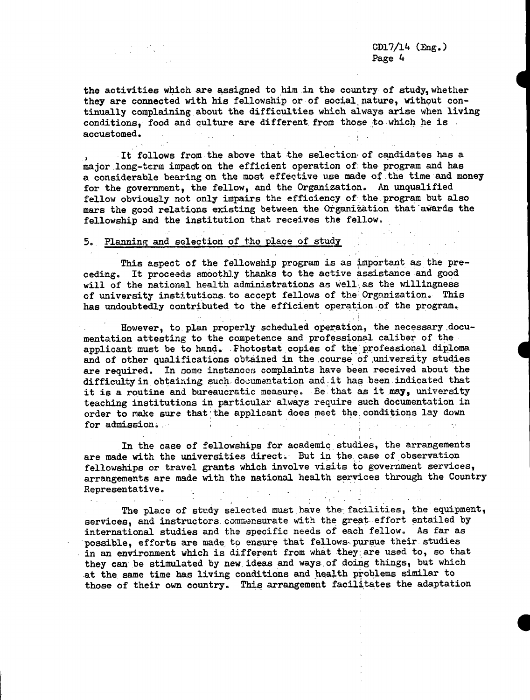the activities which are assigned to him in the country of study,whether they are connected with his fellowship or of social nature, without continually complaining about the difficulties which always arise when living conditions, food and culture are different. from those to which he is accustomed.

It follows from the above that the selection of candidates has a major.long-term impact on the efficient operation of the program and has a considerable bearing on the most effective use made of.the time and money for the government, the fellow, and the Organization. An unqualified fellow obviously not only impairs the efficiency of the.program but also mars the good relations existing between the Organization that'awards the fellowship and the institution that receives the fellow.

## 5. Planning and selection of the place of study

This aspect of the fellowship program is as important as the preceding. It proceeds smoothly thanks to the active assistance and good will of the national health administrations as well, as the willingness of university institutions to accept fellows of the Organization. This has undoubtedly contributed to the efficient operation of the program.

However, to.plan properly scheduled operation, the necessary.documentation attesting to the competence and professional caliber of the applicant must be to hand. Photostat copies of the professional diploma and of other qualifications obtained in the course of university studies are required. In some instances complaints have been received about the difficulty in obtaining. such documentation and it has been indicated that it is a routine and bureaucratic measure. Be that as it may, university teaching institutions in particular always require such documentation in order to make sure that the applicant does meet the conditions lay down for admission;.

In the case of fellowships for academic studies, the arrangements are made with the universities direct. But in the case of observation fellowships or travel grants which involve visits to government services, arrangements are made with the national health services through the Country Representative.

The place of study selected must have the facilities, the equipment, services, and instructors commensurate with the great effort entailed by international studies and the specific needs of each fellow. As far as possible, efforts are made to ensure that fellows pursue their studies in an environment which is different from what they;are used to, so that they can be stimulated by new.ideas and ways-of doing things, but which at the same time has living conditions and health problems similar to those of their own country. This arrangement facilitates the adaptation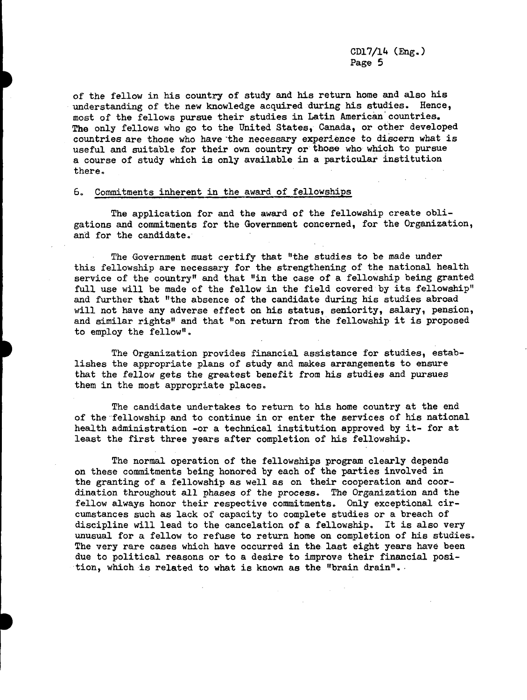of the fellow in his country of study and his return home and also his understanding of the new knowledge acquired during his studies. Hence, most of the fellows pursue their studies in Latin American countries. The only fellows who go to the United States, Canada, or other developed countries are those who have the necessary experience to discern what is useful and suitable for their own country or those who which to pursue a course of study which is only available in a particular institution there.

### 6. Commitments inherent in the award of fellowships

The application for and the award of the fellowship create obligations and commitments for the Government concerned, for the Organization, and for the candidate.

The Government must certify that "the studies to be made under this fellowship are necessary for the strengthening of the national health service of the country" and that "in the case of a fellowship being granted full use will be made of the fellow in the field covered by its fellowship" and further that "the absence of the candidate during his studies abroad will not have any adverse effect on his status, seniority, salary, pension, and similar rights" and that "on return from the fellowship it is proposed to employ the fellow".

The Organization provides financial assistance for studies, establishes the appropriate plans of study and makes arrangements to ensure that the fellow gets the greatest benefit from his studies and pursues them in the most appropriate places.

The candidate undertakes to return to his home country at the end of the fellowship and to continue in or enter the services of his national health administration -or a technical institution approved by it- for at least the first three years after completion of his fellowship.

The normal operation of the fellowships program clearly depends on these commitments being honored by each of the parties involved in the granting of a fellowship as well as on their cooperation and coordination throughout all phases of the process. The Organization and the fellow always honor their respective commitments. Only exceptional circumstances such as lack of capacity to complete studies or a breach of discipline will lead to the cancelation of a fellowship. It is also very unusual for a fellow to refuse to return home on completion of his studies. The very rare cases which have occurred in the last eight years have been due to political reasons or to a desire to improve their financial position, which is related to what is known as the "brain drain"..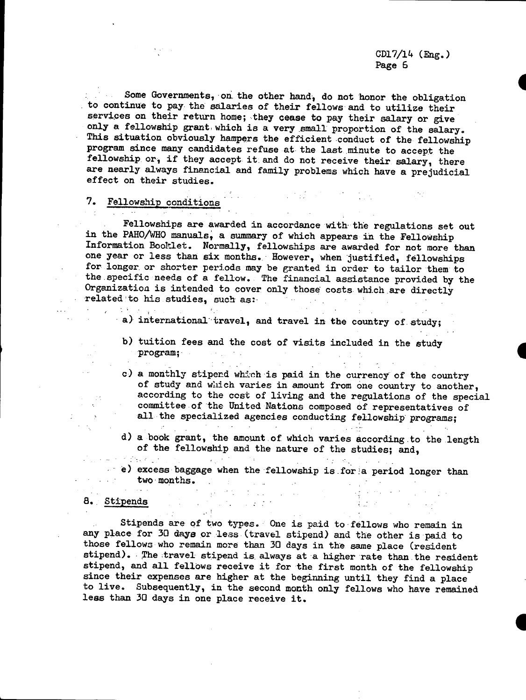Some Governments, on. the other hand, do not honor the obligation  $\mathcal{L}^{\text{max}}_{\text{max}}$ to continue to pay the salaries of their fellows and to utilize their services on their return home; they cease to pay their salary or give only a fellowship grant which is a very small proportion of the salary. This situation obviously hampers the efficient conduct of the fellowship program since many candidates refuse at the last minute to accept the fellowship or, if they accept it.and do not receive their salary, there are nearly always financial and family problems which have a prejudicial effect on their studies.

# 7. Fellowship conditions

Fellowships are awarded in accordance with the regulations set out in the PAHO/WHO manuals, a summary of which appears in the Fellowship Information Booklet. Normally, fellowships are awarded for not more than one year or less than six months. However, when justified, fellowships for longer or shorter periods may be granted in order to tailor them to the specific needs of a fellow. The financial assistance provided by the Organization is intended to cover only those costs which are directly related to his studies, such as: related to his studies, such as:  $\mathcal{L}^{\text{max}}_{\text{max}}$ 

- a) international travel, and travel in the country of study;
	- b) tuition fees and the cost of visits included in the study program;  $\label{eq:2} \mathcal{L}^{\mathcal{A}}(\mathcal{A}) = \mathcal{L}^{\mathcal{A}}(\mathcal{A}) = \mathcal{L}^{\mathcal{A}}(\mathcal{A})$

 $\mathcal{L}^{\text{max}}$ 

c) a monthly stiperd which is paid in the currency of the country of study and which varies in amount from one country to another, according to the cost of living and the regulations of the special committee of the United Nations composed of representatives of all the specialized agencies conducting fellowship programs;

d) a book grant, the amount of which varies according to the length of the fellowship and the nature of the studies; and,

a serie

e) excess baggage when the fellowship is for a period longer than two months. two months. 8. Stipends . -

**Contractor of Page 200** 

 $\omega$  and

 $\sim 3\%$ 

Stipends are of two types. One is paid to fellows who remain in any place for 30 days or less (travel stipend) and the other is paid to those fellows who remain more than 30 days in the same place (resident stipend). The travel stipend is always at a higher rate than the resident stipend, and all fellows receive it for the first month of the fellowship since their expenses are higher at the beginning until they find a place to live. Subsequently, in the second month only fellows who have remained less than 30 days in one place receive it.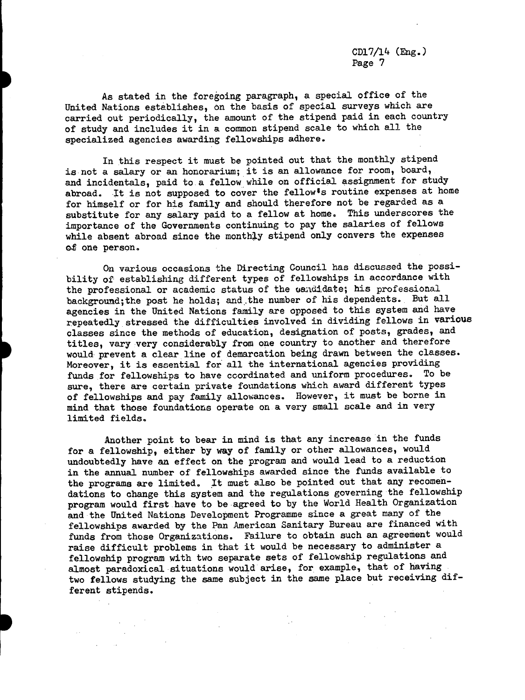As stated in the foregoing paragraph, a special office of the United Nations establishes, on the basis of special surveys which are carried out periodically, the amount of the stipend paid in each country of study and includes it in a common stipend scale to which all the specialized agencies awarding fellowships adhere.

In this respect it must be pointed out that the monthly stipend is not a salary or an honorarium; it is an allowance for room, board, and incidentals, paid to a fellow while on official assignment for study abroad. It is not supposed to cover the fellow's routine expenses at home for himself or for his family and should therefore not be regarded as a substitute for any salary paid to a fellow at home. This underscores the importance of the Governments continuing to pay the salaries of fellows while absent abroad since the monthly stipend only convers the expenses ot one person.

On various occasions the Directing Council has discussed the possibility of establishing different types of fellowships in accordance with the professional or academic status of the candidate; his professional background;the post he holds; and.the number of his dependents. But all agencies in the United Nations family are opposed to this system and have repeatedly stressed the difficulties involved in dividing fellows in various classes since the methods of education, designation of posts, grades, and titles, vary very considerably from one country to another and therefore would prevent a clear line of demarcation being drawn between the classes. Moreover, it is essential for all the international agencies providing funds for fellowships to have coordinated and uniform procedures. To be sure, there are certain private foundations which award different types of fellowships and pay family allowances. However, it must be borne in mind that those foundations operate on a very small scale and in very limited fields.

Another point to bear in mind is that any increase in the funds for a fellowship, either by way of family or other allowances, would undoubtedly have an effect on the program and would lead to a reduction in the annual number of fellowships awarded since the funds available to the programs are limited. It must also be pointed out that any recomendations to change this system and the regulations governing the fellowship program would first have to be agreed to by the World Health Organization and the United Nations Development Programme since a great many of the fellowships awarded by the Pan American Sanitary Bureau are financed with funds from those Organizations. Failure to obtain such an agreement would raise difficult problems in that it would be necessary to administer a fellowship program with two separate sets of fellowship regulations and almost paradoxical situations would arise, for example, that of having two fellows studying the same subject in the same place but receiving different stipends.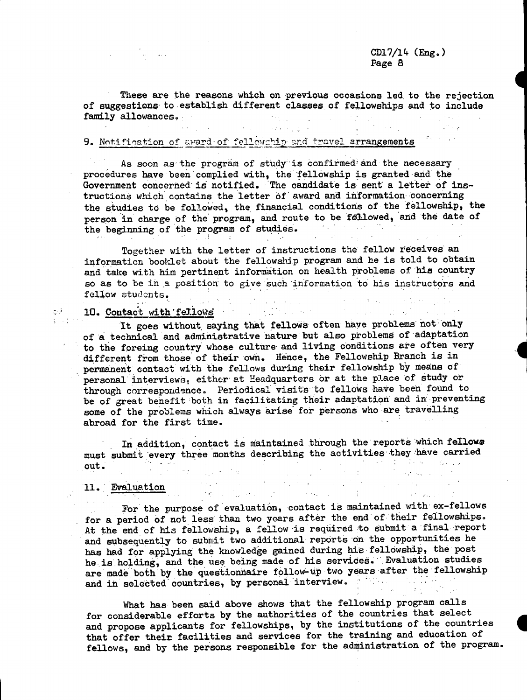$\mathcal{L}_{\mathcal{A}}$  , and the set of the set of the set of the set of the set of the set of the set of the set of the set of the set of the set of the set of the set of the set of the set of the set of the set of the set of th

These are the reasons which on previous occasions led to the rejection of suggestions to establish different classes of fellowships and to include family allowances.

 $-2.79 - 1.20 - 1.$ 

# 9. Notification of award of fellowchip and travel arrangements

As soon as the program of study is confirmed and the necessary procedures have been complied with, the fellowship is granted and the Government concerned is notified. The candidate is sent a letter of instructions which contains the letter of award and information concerning the studies to be followed, the financial conditions of the fellowship, the person in charge of the program, and route to be followed, and the date of the beginning of the program of studies. the beginning of the program of studies.

Together with the letter of instructions the fellow receives an information booklet about the fellowship program and he is told to obtain and take with him pertinent information on health problems of 'his country so as to be in a position to give such information to his instructors and fellow students.  $\sim 10^7$ 

# 10. Contact with fellows

 $\frac{\partial \mathcal{F}}{\partial \mathbf{r}}$ 

 $\Delta\sigma$  and

in and

It goes without saying that fellows often have problems not only of a technical and administrative nature but also problems of adaptation to the foreing country whose culture and living conditions are often very different from those of their own. Hence, the Fellowship Branch is in permanent contact with the fellows during their fellowship by means of personal' interviews, either at Headquarters br at the place 'of study or through correspondence. Periodical visits to fellows have been found to be of great benefit both in facilitating their adaptation and in preventing some of the problems which always arise for persons who are travelling abroad for the first time.

In addition, contact is maintained through the reports which fellows must submit every three months describing the activities they have carried out. out.  $\label{eq:2.1} \begin{split} \mathcal{L}^{(2)}(t) &= \mathcal{L}^{(2)}(t) \mathcal{L}^{(2)}(t) + \mathcal{L}^{(2)}(t) \mathcal{L}^{(2)}(t) \\ &= \mathcal{L}^{(2)}(t) + \mathcal{L}^{(2)}(t) + \mathcal{L}^{(2)}(t) \mathcal{L}^{(2)}(t) \end{split}$ 

# 11. Evaluation

For the purpose of evaluation, contact is maintained with ex-fellows for a period of not less than two years after the end of their fellowships. At the end of his fellowship, a fellow-is required to submit a final report and subsequently to submit two additional reports on the opportunities he has had for applying the knowledge gained during his fellowship, the post he is. holding, and the use being made of his services. Evaluation studies are made both by the questionnaire follow-up two years after the fellowship and in selected countries, by personal interview.

What has been said above shows that the fellowship program calls for considerable efforts by the authorities of the countries that select and propose applicants for fellowships, by the institutions of the countries that offer their facilities and services for the training and education of fellows, and by the persons responsible for the administration of the program.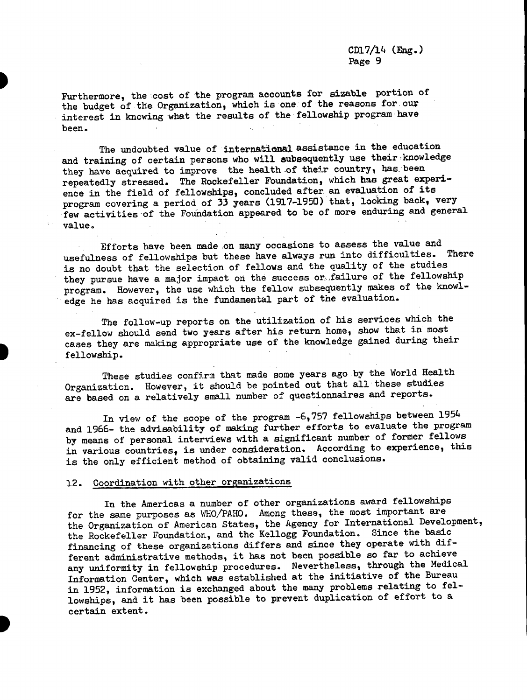Furthermore, the cost of the program accounts for sizable portion of the budget of the Organization, which is one of the reasons for our interest in knowing what the results of the fellowship program have been.

The undoubted value of international assistance in the education and training of certain persons who will subsequently use their knowledge they have acquired to improve the health of their country, has been repeatedly stressed. The Rockefeller Foundation, which has great experience in the field of fellowships, concluded after an evaluation of its program covering a period of 33 years (1917-1950) that, looking back, very few activities of the Foundation appeared to be of more enduring and general value.

Efforts have been made on many occasions to assess the value and usefulness of fellowships but these have always run into difficulties. There is no doubt that the selection of fellows and the quality of the studies they pursue have a major impact on the success or failure of the fellowship program. However, the use which the fellow subsequently makes of the knowledge he has acquired is the fundamental part of the evaluation.

The follow-up reports on the utilization of his services which the ex-fellow should send two years after his return home, show that in most cases they are making appropriate use of the knowledge gained during their fellowship.

These studies confirm that made some years ago by the World Health Organization. However, it should be pointed out that all these studies are based on a relatively small number of questionnaires and reports.

In view of the scope of the program -6,757 fellowships between 1954 and 1966- the advisability of making further efforts to evaluate the program by means of personal interviews with a significant number of former fellows in various countries, is under consideration. According to experience, this is the only efficient method of obtaining valid conclusions.

# 12. Coordination with other organizations

In the Americas a number of other organizations award fellowships for the same purposes as WHO/PAHO. Among these, the most important are the Organization of American States, the Agency for International Development, the Rockefeller Foundation, and the Kellogg Foundation. Since the basic financing of these organizations differs and since they operate with different administrative methods, it has not been possible so far to achieve any uniformity in fellowship procedures. Nevertheless, through the Medical Information Center, which was established at the initiative of the Bureau in 1952, information is exchanged about the many problems relating to fellowships, and it has been possible to prevent duplication of effort to a certain extent.